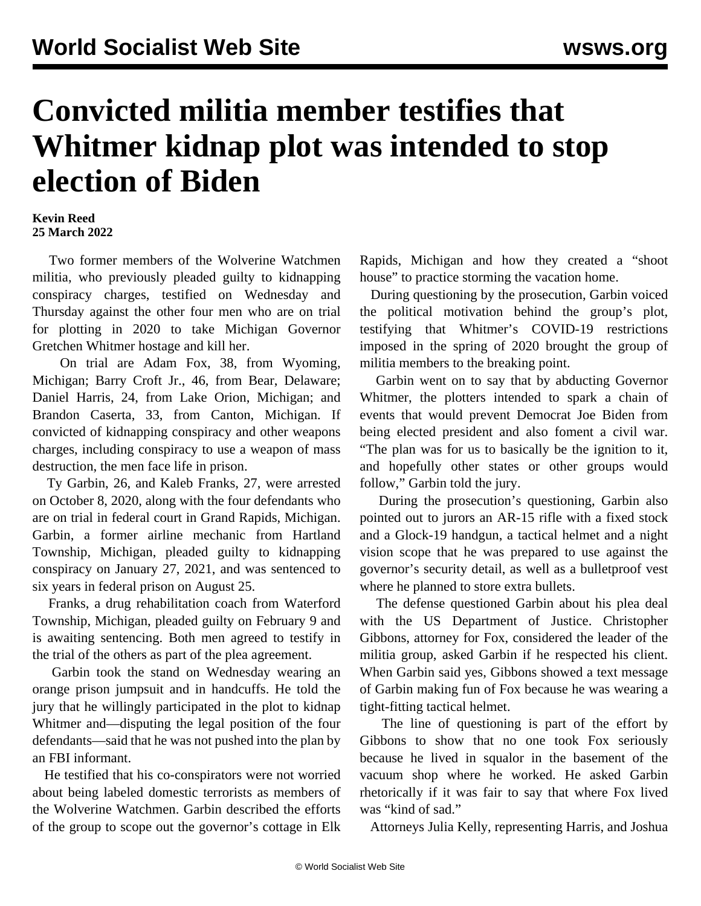## **Convicted militia member testifies that Whitmer kidnap plot was intended to stop election of Biden**

## **Kevin Reed 25 March 2022**

 Two former members of the Wolverine Watchmen militia, who previously pleaded guilty to kidnapping conspiracy charges, testified on Wednesday and Thursday against the other four men who are on trial for plotting in 2020 to take Michigan Governor Gretchen Whitmer hostage and kill her.

 On trial are Adam Fox, 38, from Wyoming, Michigan; Barry Croft Jr., 46, from Bear, Delaware; Daniel Harris, 24, from Lake Orion, Michigan; and Brandon Caserta, 33, from Canton, Michigan. If convicted of kidnapping conspiracy and other weapons charges, including conspiracy to use a weapon of mass destruction, the men face life in prison.

 Ty Garbin, 26, and Kaleb Franks, 27, were arrested on October 8, 2020, along with the four defendants who are on trial in federal court in Grand Rapids, Michigan. Garbin, a former airline mechanic from Hartland Township, Michigan, pleaded guilty to kidnapping conspiracy on January 27, 2021, and was sentenced to six years in federal prison on August 25.

 Franks, a drug rehabilitation coach from Waterford Township, Michigan, pleaded guilty on February 9 and is awaiting sentencing. Both men agreed to testify in the trial of the others as part of the plea agreement.

 Garbin took the stand on Wednesday wearing an orange prison jumpsuit and in handcuffs. He told the jury that he willingly participated in the plot to kidnap Whitmer and—disputing the legal position of the four defendants—said that he was not pushed into the plan by an FBI informant.

 He testified that his co-conspirators were not worried about being labeled domestic terrorists as members of the Wolverine Watchmen. Garbin described the efforts of the group to scope out the governor's cottage in Elk Rapids, Michigan and how they created a "shoot house" to practice storming the vacation home.

 During questioning by the prosecution, Garbin voiced the political motivation behind the group's plot, testifying that Whitmer's COVID-19 restrictions imposed in the spring of 2020 brought the group of militia members to the breaking point.

 Garbin went on to say that by abducting Governor Whitmer, the plotters intended to spark a chain of events that would prevent Democrat Joe Biden from being elected president and also foment a civil war. "The plan was for us to basically be the ignition to it, and hopefully other states or other groups would follow," Garbin told the jury.

 During the prosecution's questioning, Garbin also pointed out to jurors an AR-15 rifle with a fixed stock and a Glock-19 handgun, a tactical helmet and a night vision scope that he was prepared to use against the governor's security detail, as well as a bulletproof vest where he planned to store extra bullets.

 The defense questioned Garbin about his plea deal with the US Department of Justice. Christopher Gibbons, attorney for Fox, considered the leader of the militia group, asked Garbin if he respected his client. When Garbin said yes, Gibbons showed a text message of Garbin making fun of Fox because he was wearing a tight-fitting tactical helmet.

 The line of questioning is part of the effort by Gibbons to show that no one took Fox seriously because he lived in squalor in the basement of the vacuum shop where he worked. He asked Garbin rhetorically if it was fair to say that where Fox lived was "kind of sad."

Attorneys Julia Kelly, representing Harris, and Joshua